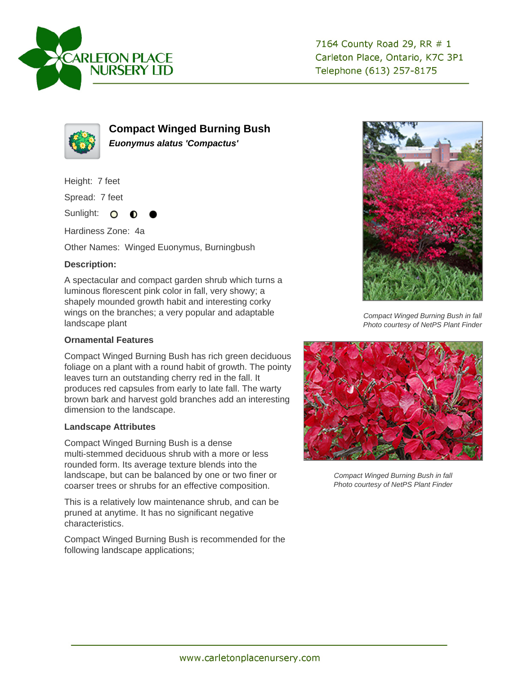



**Compact Winged Burning Bush Euonymus alatus 'Compactus'**

Height: 7 feet

Spread: 7 feet

Sunlight: O

Hardiness Zone: 4a

Other Names: Winged Euonymus, Burningbush

## **Description:**

A spectacular and compact garden shrub which turns a luminous florescent pink color in fall, very showy; a shapely mounded growth habit and interesting corky wings on the branches; a very popular and adaptable landscape plant

## **Ornamental Features**

Compact Winged Burning Bush has rich green deciduous foliage on a plant with a round habit of growth. The pointy leaves turn an outstanding cherry red in the fall. It produces red capsules from early to late fall. The warty brown bark and harvest gold branches add an interesting dimension to the landscape.

## **Landscape Attributes**

Compact Winged Burning Bush is a dense multi-stemmed deciduous shrub with a more or less rounded form. Its average texture blends into the landscape, but can be balanced by one or two finer or coarser trees or shrubs for an effective composition.

This is a relatively low maintenance shrub, and can be pruned at anytime. It has no significant negative characteristics.

Compact Winged Burning Bush is recommended for the following landscape applications;



Compact Winged Burning Bush in fall Photo courtesy of NetPS Plant Finder



Compact Winged Burning Bush in fall Photo courtesy of NetPS Plant Finder